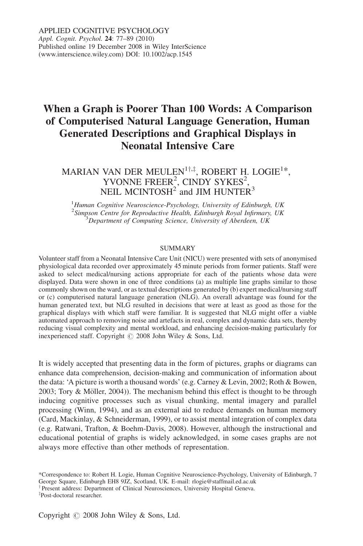# When a Graph is Poorer Than 100 Words: A Comparison of Computerised Natural Language Generation, Human Generated Descriptions and Graphical Displays in Neonatal Intensive Care

## MARIAN VAN DER MEULEN $^{1\dagger,\ddagger}$ , ROBERT H. LOGIE $^{1*}$ , YVONNE FREER<sup>2</sup>, CINDY SYKES<sup>2</sup>, NEIL MCINTOSH<sup>2</sup> and JIM HUNTER<sup>3</sup>

<sup>1</sup>Human Cognitive Neuroscience-Psychology, University of Edinburgh, UK <sup>2</sup>Simpson Centre for Reproductive Health, Edinburgh Royal Infirmary, UK<br><sup>3</sup>Department of Computing Science, University of Aberdeen, UK  $3$ Department of Computing Science, University of Aberdeen, UK

#### SUMMARY

Volunteer staff from a Neonatal Intensive Care Unit (NICU) were presented with sets of anonymised physiological data recorded over approximately 45 minute periods from former patients. Staff were asked to select medical/nursing actions appropriate for each of the patients whose data were displayed. Data were shown in one of three conditions (a) as multiple line graphs similar to those commonly shown on the ward, or as textual descriptions generated by (b) expert medical/nursing staff or (c) computerised natural language generation (NLG). An overall advantage was found for the human generated text, but NLG resulted in decisions that were at least as good as those for the graphical displays with which staff were familiar. It is suggested that NLG might offer a viable automated approach to removing noise and artefacts in real, complex and dynamic data sets, thereby reducing visual complexity and mental workload, and enhancing decision-making particularly for inexperienced staff. Copyright  $\odot$  2008 John Wiley & Sons, Ltd.

It is widely accepted that presenting data in the form of pictures, graphs or diagrams can enhance data comprehension, decision-making and communication of information about the data: 'A picture is worth a thousand words' (e.g. Carney & Levin, 2002; Roth & Bowen, 2003; Tory & Möller, 2004)). The mechanism behind this effect is thought to be through inducing cognitive processes such as visual chunking, mental imagery and parallel processing (Winn, 1994), and as an external aid to reduce demands on human memory (Card, Mackinlay, & Schneiderman, 1999), or to assist mental integration of complex data (e.g. Ratwani, Trafton, & Boehm-Davis, 2008). However, although the instructional and educational potential of graphs is widely acknowledged, in some cases graphs are not always more effective than other methods of representation.

<sup>\*</sup>Correspondence to: Robert H. Logie, Human Cognitive Neuroscience-Psychology, University of Edinburgh, 7 George Square, Edinburgh EH8 9JZ, Scotland, UK. E-mail: rlogie@staffmail.ed.ac.uk

<sup>&</sup>lt;sup>T</sup> Present address: Department of Clinical Neurosciences, University Hospital Geneva.

<sup>&</sup>lt;sup>‡</sup>Post-doctoral researcher.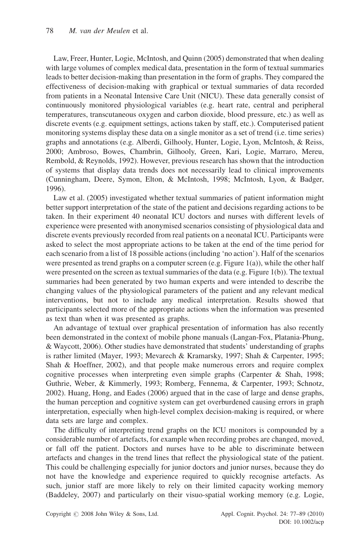Law, Freer, Hunter, Logie, McIntosh, and Quinn (2005) demonstrated that when dealing with large volumes of complex medical data, presentation in the form of textual summaries leads to better decision-making than presentation in the form of graphs. They compared the effectiveness of decision-making with graphical or textual summaries of data recorded from patients in a Neonatal Intensive Care Unit (NICU). These data generally consist of continuously monitored physiological variables (e.g. heart rate, central and peripheral temperatures, transcutaneous oxygen and carbon dioxide, blood pressure, etc.) as well as discrete events (e.g. equipment settings, actions taken by staff, etc.). Computerised patient monitoring systems display these data on a single monitor as a set of trend (i.e. time series) graphs and annotations (e.g. Alberdi, Gilhooly, Hunter, Logie, Lyon, McIntosh, & Reiss, 2000; Ambroso, Bowes, Chambrin, Gilhooly, Green, Kari, Logie, Marraro, Mereu, Rembold, & Reynolds, 1992). However, previous research has shown that the introduction of systems that display data trends does not necessarily lead to clinical improvements (Cunningham, Deere, Symon, Elton, & McIntosh, 1998; McIntosh, Lyon, & Badger, 1996).

Law et al. (2005) investigated whether textual summaries of patient information might better support interpretation of the state of the patient and decisions regarding actions to be taken. In their experiment 40 neonatal ICU doctors and nurses with different levels of experience were presented with anonymised scenarios consisting of physiological data and discrete events previously recorded from real patients on a neonatal ICU. Participants were asked to select the most appropriate actions to be taken at the end of the time period for each scenario from a list of 18 possible actions (including 'no action'). Half of the scenarios were presented as trend graphs on a computer screen (e.g. Figure 1(a)), while the other half were presented on the screen as textual summaries of the data (e.g. Figure 1(b)). The textual summaries had been generated by two human experts and were intended to describe the changing values of the physiological parameters of the patient and any relevant medical interventions, but not to include any medical interpretation. Results showed that participants selected more of the appropriate actions when the information was presented as text than when it was presented as graphs.

An advantage of textual over graphical presentation of information has also recently been demonstrated in the context of mobile phone manuals (Langan-Fox, Platania-Phung, & Waycott, 2006). Other studies have demonstrated that students' understanding of graphs is rather limited (Mayer, 1993; Mevarech & Kramarsky, 1997; Shah & Carpenter, 1995; Shah & Hoeffner, 2002), and that people make numerous errors and require complex cognitive processes when interpreting even simple graphs (Carpenter & Shah, 1998; Guthrie, Weber, & Kimmerly, 1993; Romberg, Fennema, & Carpenter, 1993; Schnotz, 2002). Huang, Hong, and Eades (2006) argued that in the case of large and dense graphs, the human perception and cognitive system can get overburdened causing errors in graph interpretation, especially when high-level complex decision-making is required, or where data sets are large and complex.

The difficulty of interpreting trend graphs on the ICU monitors is compounded by a considerable number of artefacts, for example when recording probes are changed, moved, or fall off the patient. Doctors and nurses have to be able to discriminate between artefacts and changes in the trend lines that reflect the physiological state of the patient. This could be challenging especially for junior doctors and junior nurses, because they do not have the knowledge and experience required to quickly recognise artefacts. As such, junior staff are more likely to rely on their limited capacity working memory (Baddeley, 2007) and particularly on their visuo-spatial working memory (e.g. Logie,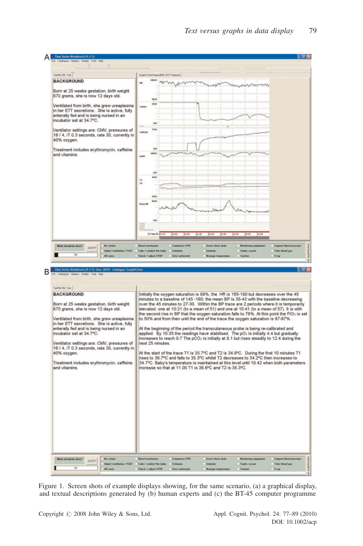

Connerce [79]

Existence

Insert chest drain

**Manage temperature** 

No ection

All cores

**Blood transfu** 

 $11602$ 

Calm / comfort the baby

Check / odjust CPAP Give surfactunt

What should be done? ACCEPT

Support blood pres

.<br>Take blood get

 $\mathbb{R}$ ng

Monitoring equip

Septic as

Suction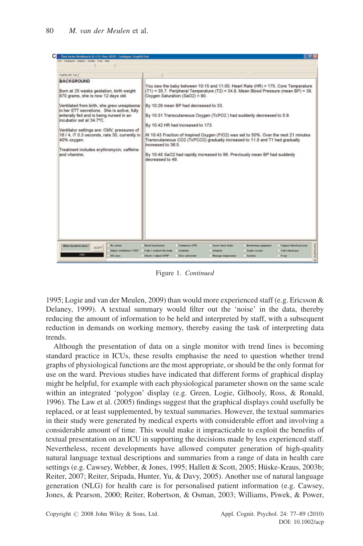

Figure 1. Continued

1995; Logie and van der Meulen, 2009) than would more experienced staff (e.g. Ericsson & Delaney, 1999). A textual summary would filter out the 'noise' in the data, thereby reducing the amount of information to be held and interpreted by staff, with a subsequent reduction in demands on working memory, thereby easing the task of interpreting data trends.

Although the presentation of data on a single monitor with trend lines is becoming standard practice in ICUs, these results emphasise the need to question whether trend graphs of physiological functions are the most appropriate, or should be the only format for use on the ward. Previous studies have indicated that different forms of graphical display might be helpful, for example with each physiological parameter shown on the same scale within an integrated 'polygon' display (e.g. Green, Logie, Gilhooly, Ross, & Ronald, 1996). The Law et al. (2005) findings suggest that the graphical displays could usefully be replaced, or at least supplemented, by textual summaries. However, the textual summaries in their study were generated by medical experts with considerable effort and involving a considerable amount of time. This would make it impracticable to exploit the benefits of textual presentation on an ICU in supporting the decisions made by less experienced staff. Nevertheless, recent developments have allowed computer generation of high-quality natural language textual descriptions and summaries from a range of data in health care settings (e.g. Cawsey, Webber, & Jones, 1995; Hallett & Scott, 2005; Hüske-Kraus, 2003b; Reiter, 2007; Reiter, Sripada, Hunter, Yu, & Davy, 2005). Another use of natural language generation (NLG) for health care is for personalised patient information (e.g. Cawsey, Jones, & Pearson, 2000; Reiter, Robertson, & Osman, 2003; Williams, Piwek, & Power,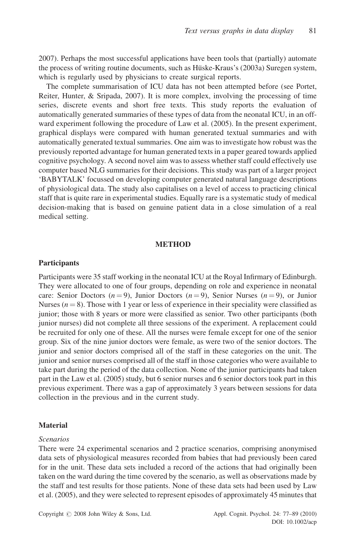2007). Perhaps the most successful applications have been tools that (partially) automate the process of writing routine documents, such as Hüske-Kraus's (2003a) Suregen system, which is regularly used by physicians to create surgical reports.

The complete summarisation of ICU data has not been attempted before (see Portet, Reiter, Hunter, & Sripada, 2007). It is more complex, involving the processing of time series, discrete events and short free texts. This study reports the evaluation of automatically generated summaries of these types of data from the neonatal ICU, in an offward experiment following the procedure of Law et al. (2005). In the present experiment, graphical displays were compared with human generated textual summaries and with automatically generated textual summaries. One aim was to investigate how robust was the previously reported advantage for human generated texts in a paper geared towards applied cognitive psychology. A second novel aim was to assess whether staff could effectively use computer based NLG summaries for their decisions. This study was part of a larger project 'BABYTALK' focussed on developing computer generated natural language descriptions of physiological data. The study also capitalises on a level of access to practicing clinical staff that is quite rare in experimental studies. Equally rare is a systematic study of medical decision-making that is based on genuine patient data in a close simulation of a real medical setting.

## **METHOD**

#### Participants

Participants were 35 staff working in the neonatal ICU at the Royal Infirmary of Edinburgh. They were allocated to one of four groups, depending on role and experience in neonatal care: Senior Doctors  $(n = 9)$ , Junior Doctors  $(n = 9)$ , Senior Nurses  $(n = 9)$ , or Junior Nurses ( $n = 8$ ). Those with 1 year or less of experience in their speciality were classified as junior; those with 8 years or more were classified as senior. Two other participants (both junior nurses) did not complete all three sessions of the experiment. A replacement could be recruited for only one of these. All the nurses were female except for one of the senior group. Six of the nine junior doctors were female, as were two of the senior doctors. The junior and senior doctors comprised all of the staff in these categories on the unit. The junior and senior nurses comprised all of the staff in those categories who were available to take part during the period of the data collection. None of the junior participants had taken part in the Law et al. (2005) study, but 6 senior nurses and 6 senior doctors took part in this previous experiment. There was a gap of approximately 3 years between sessions for data collection in the previous and in the current study.

## Material

## Scenarios

There were 24 experimental scenarios and 2 practice scenarios, comprising anonymised data sets of physiological measures recorded from babies that had previously been cared for in the unit. These data sets included a record of the actions that had originally been taken on the ward during the time covered by the scenario, as well as observations made by the staff and test results for those patients. None of these data sets had been used by Law et al. (2005), and they were selected to represent episodes of approximately 45 minutes that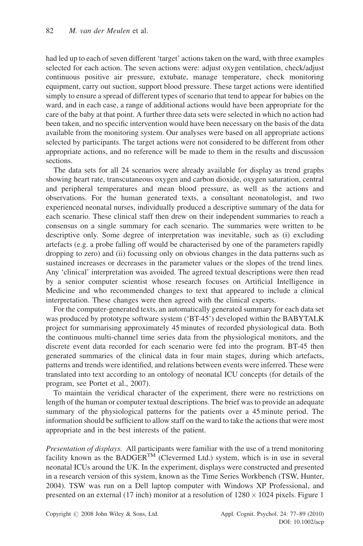had led up to each of seven different 'target' actions taken on the ward, with three examples selected for each action. The seven actions were: adjust oxygen ventilation, check/adjust continuous positive air pressure, extubate, manage temperature, check monitoring equipment, carry out suction, support blood pressure. These target actions were identified simply to ensure a spread of different types of scenario that tend to appear for babies on the ward, and in each case, a range of additional actions would have been appropriate for the care of the baby at that point. A further three data sets were selected in which no action had been taken, and no specific intervention would have been necessary on the basis of the data available from the monitoring system. Our analyses were based on all appropriate actions selected by participants. The target actions were not considered to be different from other appropriate actions, and no reference will be made to them in the results and discussion sections.

The data sets for all 24 scenarios were already available for display as trend graphs showing heart rate, transcutaneous oxygen and carbon dioxide, oxygen saturation, central and peripheral temperatures and mean blood pressure, as well as the actions and observations. For the human generated texts, a consultant neonatologist, and two experienced neonatal nurses, individually produced a descriptive summary of the data for each scenario. These clinical staff then drew on their independent summaries to reach a consensus on a single summary for each scenario. The summaries were written to be descriptive only. Some degree of interpretation was inevitable, such as (i) excluding artefacts (e.g. a probe falling off would be characterised by one of the parameters rapidly dropping to zero) and (ii) focussing only on obvious changes in the data patterns such as sustained increases or decreases in the parameter values or the slopes of the trend lines. Any 'clinical' interpretation was avoided. The agreed textual descriptions were then read by a senior computer scientist whose research focuses on Artificial Intelligence in Medicine and who recommended changes to text that appeared to include a clinical interpretation. These changes were then agreed with the clinical experts.

For the computer-generated texts, an automatically generated summary for each data set was produced by prototype software system ('BT-45') developed within the BABYTALK project for summarising approximately 45 minutes of recorded physiological data. Both the continuous multi-channel time series data from the physiological monitors, and the discrete event data recorded for each scenario were fed into the program. BT-45 then generated summaries of the clinical data in four main stages, during which artefacts, patterns and trends were identified, and relations between events were inferred. These were translated into text according to an ontology of neonatal ICU concepts (for details of the program, see Portet et al., 2007).

To maintain the veridical character of the experiment, there were no restrictions on length of the human or computer textual descriptions. The brief was to provide an adequate summary of the physiological patterns for the patients over a 45 minute period. The information should be sufficient to allow staff on the ward to take the actions that were most appropriate and in the best interests of the patient.

Presentation of displays. All participants were familiar with the use of a trend monitoring facility known as the  $BADGER^{TM}$  (Clevermed Ltd.) system, which is in use in several neonatal ICUs around the UK. In the experiment, displays were constructed and presented in a research version of this system, known as the Time Series Workbench (TSW, Hunter, 2004). TSW was run on a Dell laptop computer with Windows XP Professional, and presented on an external (17 inch) monitor at a resolution of  $1280 \times 1024$  pixels. Figure 1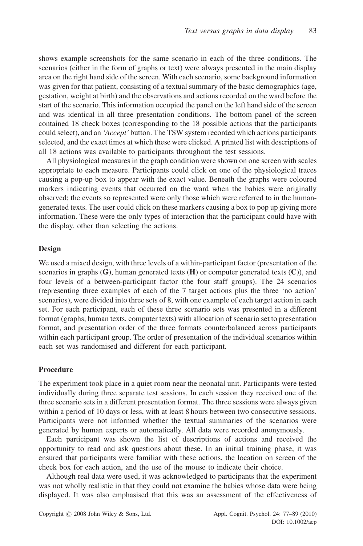shows example screenshots for the same scenario in each of the three conditions. The scenarios (either in the form of graphs or text) were always presented in the main display area on the right hand side of the screen. With each scenario, some background information was given for that patient, consisting of a textual summary of the basic demographics (age, gestation, weight at birth) and the observations and actions recorded on the ward before the start of the scenario. This information occupied the panel on the left hand side of the screen and was identical in all three presentation conditions. The bottom panel of the screen contained 18 check boxes (corresponding to the 18 possible actions that the participants could select), and an 'Accept' button. The TSW system recorded which actions participants selected, and the exact times at which these were clicked. A printed list with descriptions of all 18 actions was available to participants throughout the test sessions.

All physiological measures in the graph condition were shown on one screen with scales appropriate to each measure. Participants could click on one of the physiological traces causing a pop-up box to appear with the exact value. Beneath the graphs were coloured markers indicating events that occurred on the ward when the babies were originally observed; the events so represented were only those which were referred to in the humangenerated texts. The user could click on these markers causing a box to pop up giving more information. These were the only types of interaction that the participant could have with the display, other than selecting the actions.

#### Design

We used a mixed design, with three levels of a within-participant factor (presentation of the scenarios in graphs  $(G)$ , human generated texts  $(H)$  or computer generated texts  $(C)$ ), and four levels of a between-participant factor (the four staff groups). The 24 scenarios (representing three examples of each of the 7 target actions plus the three 'no action' scenarios), were divided into three sets of 8, with one example of each target action in each set. For each participant, each of these three scenario sets was presented in a different format (graphs, human texts, computer texts) with allocation of scenario set to presentation format, and presentation order of the three formats counterbalanced across participants within each participant group. The order of presentation of the individual scenarios within each set was randomised and different for each participant.

#### Procedure

The experiment took place in a quiet room near the neonatal unit. Participants were tested individually during three separate test sessions. In each session they received one of the three scenario sets in a different presentation format. The three sessions were always given within a period of 10 days or less, with at least 8 hours between two consecutive sessions. Participants were not informed whether the textual summaries of the scenarios were generated by human experts or automatically. All data were recorded anonymously.

Each participant was shown the list of descriptions of actions and received the opportunity to read and ask questions about these. In an initial training phase, it was ensured that participants were familiar with these actions, the location on screen of the check box for each action, and the use of the mouse to indicate their choice.

Although real data were used, it was acknowledged to participants that the experiment was not wholly realistic in that they could not examine the babies whose data were being displayed. It was also emphasised that this was an assessment of the effectiveness of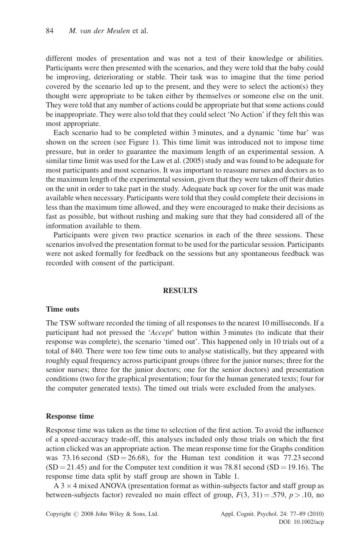different modes of presentation and was not a test of their knowledge or abilities. Participants were then presented with the scenarios, and they were told that the baby could be improving, deteriorating or stable. Their task was to imagine that the time period covered by the scenario led up to the present, and they were to select the action(s) they thought were appropriate to be taken either by themselves or someone else on the unit. They were told that any number of actions could be appropriate but that some actions could be inappropriate. They were also told that they could select 'No Action' if they felt this was most appropriate.

Each scenario had to be completed within 3 minutes, and a dynamic 'time bar' was shown on the screen (see Figure 1). This time limit was introduced not to impose time pressure, but in order to guarantee the maximum length of an experimental session. A similar time limit was used for the Law et al. (2005) study and was found to be adequate for most participants and most scenarios. It was important to reassure nurses and doctors as to the maximum length of the experimental session, given that they were taken off their duties on the unit in order to take part in the study. Adequate back up cover for the unit was made available when necessary. Participants were told that they could complete their decisions in less than the maximum time allowed, and they were encouraged to make their decisions as fast as possible, but without rushing and making sure that they had considered all of the information available to them.

Participants were given two practice scenarios in each of the three sessions. These scenarios involved the presentation format to be used for the particular session. Participants were not asked formally for feedback on the sessions but any spontaneous feedback was recorded with consent of the participant.

## RESULTS

## Time outs

The TSW software recorded the timing of all responses to the nearest 10 milliseconds. If a participant had not pressed the 'Accept' button within 3 minutes (to indicate that their response was complete), the scenario 'timed out'. This happened only in 10 trials out of a total of 840. There were too few time outs to analyse statistically, but they appeared with roughly equal frequency across participant groups (three for the junior nurses; three for the senior nurses; three for the junior doctors; one for the senior doctors) and presentation conditions (two for the graphical presentation; four for the human generated texts; four for the computer generated texts). The timed out trials were excluded from the analyses.

## Response time

Response time was taken as the time to selection of the first action. To avoid the influence of a speed-accuracy trade-off, this analyses included only those trials on which the first action clicked was an appropriate action. The mean response time for the Graphs condition was 73.16 second (SD  $=$  26.68), for the Human text condition it was 77.23 second  $(SD = 21.45)$  and for the Computer text condition it was 78.81 second  $(SD = 19.16)$ . The response time data split by staff group are shown in Table 1.

 $A$  3  $\times$  4 mixed ANOVA (presentation format as within-subjects factor and staff group as between-subjects factor) revealed no main effect of group,  $F(3, 31) = .579$ ,  $p > .10$ , no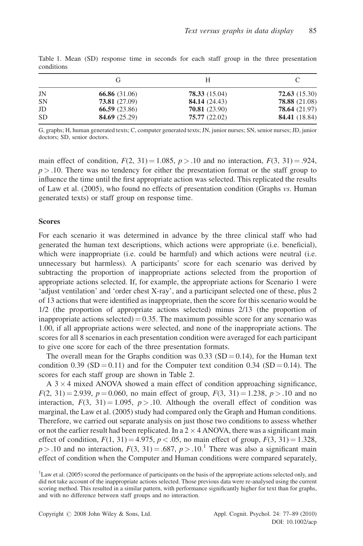|           |                 | н             |               |
|-----------|-----------------|---------------|---------------|
| JN        | 66.86 $(31.06)$ | 78.33(15.04)  | 72.63(15.30)  |
| <b>SN</b> | 73.81(27.09)    | 84.14 (24.43) | 78.88 (21.08) |
| JD        | 66.59(23.86)    | 70.81(23.90)  | 78.64 (21.97) |
| <b>SD</b> | 84.69(25.29)    | 75.77(22.02)  | 84.41 (18.84) |

Table 1. Mean (SD) response time in seconds for each staff group in the three presentation conditions

G, graphs; H, human generated texts; C, computer generated texts; JN, junior nurses; SN, senior nurses; JD, junior doctors; SD, senior doctors.

main effect of condition,  $F(2, 31) = 1.085$ ,  $p > 0.10$  and no interaction,  $F(3, 31) = 0.924$ ,  $p > 0.10$ . There was no tendency for either the presentation format or the staff group to influence the time until the first appropriate action was selected. This replicated the results of Law et al. (2005), who found no effects of presentation condition (Graphs vs. Human generated texts) or staff group on response time.

## Scores

For each scenario it was determined in advance by the three clinical staff who had generated the human text descriptions, which actions were appropriate (i.e. beneficial), which were inappropriate (i.e. could be harmful) and which actions were neutral (i.e. unnecessary but harmless). A participants' score for each scenario was derived by subtracting the proportion of inappropriate actions selected from the proportion of appropriate actions selected. If, for example, the appropriate actions for Scenario 1 were 'adjust ventilation' and 'order chest X-ray', and a participant selected one of these, plus 2 of 13 actions that were identified as inappropriate, then the score for this scenario would be 1/2 (the proportion of appropriate actions selected) minus 2/13 (the proportion of inappropriate actions selected)  $= 0.35$ . The maximum possible score for any scenario was 1.00, if all appropriate actions were selected, and none of the inappropriate actions. The scores for all 8 scenarios in each presentation condition were averaged for each participant to give one score for each of the three presentation formats.

The overall mean for the Graphs condition was  $0.33$  (SD = 0.14), for the Human text condition 0.39 (SD  $= 0.11$ ) and for the Computer text condition 0.34 (SD  $= 0.14$ ). The scores for each staff group are shown in Table 2.

A  $3 \times 4$  mixed ANOVA showed a main effect of condition approaching significance,  $F(2, 31) = 2.939$ ,  $p = 0.060$ , no main effect of group,  $F(3, 31) = 1.238$ ,  $p > 0.10$  and no interaction,  $F(3, 31) = 1.095$ ,  $p > 1.10$ . Although the overall effect of condition was marginal, the Law et al. (2005) study had compared only the Graph and Human conditions. Therefore, we carried out separate analysis on just those two conditions to assess whether or not the earlier result had been replicated. In a  $2 \times 4$  ANOVA, there was a significant main effect of condition,  $F(1, 31) = 4.975$ ,  $p < .05$ , no main effect of group,  $F(3, 31) = 1.328$ ,  $p > .10$  and no interaction,  $F(3, 31) = .687$ ,  $p > .10$ .<sup>1</sup> There was also a significant main effect of condition when the Computer and Human conditions were compared separately,

<sup>&</sup>lt;sup>1</sup>Law et al. (2005) scored the performance of participants on the basis of the appropriate actions selected only, and did not take account of the inappropriate actions selected. Those previous data were re-analysed using the current scoring method. This resulted in a similar pattern, with performance significantly higher for text than for graphs, and with no difference between staff groups and no interaction.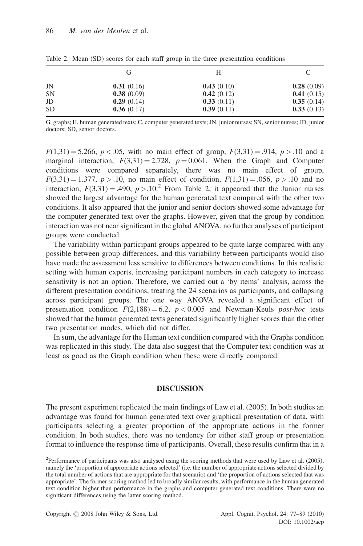|           | G          | Н          |            |
|-----------|------------|------------|------------|
| JN        | 0.31(0.16) | 0.43(0.10) | 0.28(0.09) |
| <b>SN</b> | 0.38(0.09) | 0.42(0.12) | 0.41(0.15) |
| JD        | 0.29(0.14) | 0.33(0.11) | 0.35(0.14) |
| <b>SD</b> | 0.36(0.17) | 0.39(0.11) | 0.33(0.13) |

Table 2. Mean (SD) scores for each staff group in the three presentation conditions

G, graphs; H, human generated texts; C, computer generated texts; JN, junior nurses; SN, senior nurses; JD, junior doctors; SD, senior doctors.

 $F(1,31) = 5.266, p < .05$ , with no main effect of group,  $F(3,31) = .914, p > .10$  and a marginal interaction,  $F(3,31) = 2.728$ ,  $p = 0.061$ . When the Graph and Computer conditions were compared separately, there was no main effect of group,  $F(3,31) = 1.377, p > 0.10,$  no main effect of condition,  $F(1,31) = 0.056, p > 0.10$  and no interaction,  $F(3,31) = .490$ ,  $p > .10<sup>2</sup>$  From Table 2, it appeared that the Junior nurses showed the largest advantage for the human generated text compared with the other two conditions. It also appeared that the junior and senior doctors showed some advantage for the computer generated text over the graphs. However, given that the group by condition interaction was not near significant in the global ANOVA, no further analyses of participant groups were conducted.

The variability within participant groups appeared to be quite large compared with any possible between group differences, and this variability between participants would also have made the assessment less sensitive to differences between conditions. In this realistic setting with human experts, increasing participant numbers in each category to increase sensitivity is not an option. Therefore, we carried out a 'by items' analysis, across the different presentation conditions, treating the 24 scenarios as participants, and collapsing across participant groups. The one way ANOVA revealed a significant effect of presentation condition  $F(2,188) = 6.2$ ,  $p < 0.005$  and Newman-Keuls *post-hoc* tests showed that the human generated texts generated significantly higher scores than the other two presentation modes, which did not differ.

In sum, the advantage for the Human text condition compared with the Graphs condition was replicated in this study. The data also suggest that the Computer text condition was at least as good as the Graph condition when these were directly compared.

## DISCUSSION

The present experiment replicated the main findings of Law et al. (2005). In both studies an advantage was found for human generated text over graphical presentation of data, with participants selecting a greater proportion of the appropriate actions in the former condition. In both studies, there was no tendency for either staff group or presentation format to influence the response time of participants. Overall, these results confirm that in a

<sup>2</sup> Performance of participants was also analysed using the scoring methods that were used by Law et al. (2005), namely the 'proportion of appropriate actions selected' (i.e. the number of appropriate actions selected divided by the total number of actions that are appropriate for that scenario) and 'the proportion of actions selected that was appropriate'. The former scoring method led to broadly similar results, with performance in the human generated text condition higher than performance in the graphs and computer generated text conditions. There were no significant differences using the latter scoring method.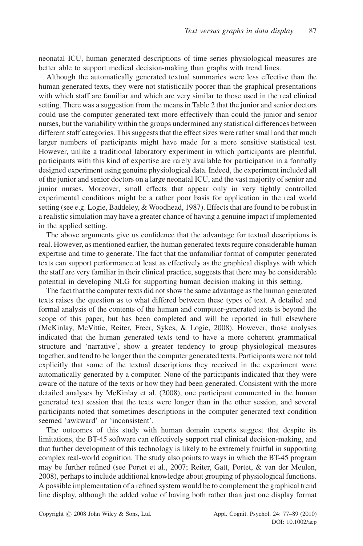neonatal ICU, human generated descriptions of time series physiological measures are better able to support medical decision-making than graphs with trend lines.

Although the automatically generated textual summaries were less effective than the human generated texts, they were not statistically poorer than the graphical presentations with which staff are familiar and which are very similar to those used in the real clinical setting. There was a suggestion from the means in Table 2 that the junior and senior doctors could use the computer generated text more effectively than could the junior and senior nurses, but the variability within the groups undermined any statistical differences between different staff categories. This suggests that the effect sizes were rather small and that much larger numbers of participants might have made for a more sensitive statistical test. However, unlike a traditional laboratory experiment in which participants are plentiful, participants with this kind of expertise are rarely available for participation in a formally designed experiment using genuine physiological data. Indeed, the experiment included all of the junior and senior doctors on a large neonatal ICU, and the vast majority of senior and junior nurses. Moreover, small effects that appear only in very tightly controlled experimental conditions might be a rather poor basis for application in the real world setting (see e.g. Logie, Baddeley, & Woodhead, 1987). Effects that are found to be robust in a realistic simulation may have a greater chance of having a genuine impact if implemented in the applied setting.

The above arguments give us confidence that the advantage for textual descriptions is real. However, as mentioned earlier, the human generated texts require considerable human expertise and time to generate. The fact that the unfamiliar format of computer generated texts can support performance at least as effectively as the graphical displays with which the staff are very familiar in their clinical practice, suggests that there may be considerable potential in developing NLG for supporting human decision making in this setting.

The fact that the computer texts did not show the same advantage as the human generated texts raises the question as to what differed between these types of text. A detailed and formal analysis of the contents of the human and computer-generated texts is beyond the scope of this paper, but has been completed and will be reported in full elsewhere (McKinlay, McVittie, Reiter, Freer, Sykes, & Logie, 2008). However, those analyses indicated that the human generated texts tend to have a more coherent grammatical structure and 'narrative', show a greater tendency to group physiological measures together, and tend to be longer than the computer generated texts. Participants were not told explicitly that some of the textual descriptions they received in the experiment were automatically generated by a computer. None of the participants indicated that they were aware of the nature of the texts or how they had been generated. Consistent with the more detailed analyses by McKinlay et al. (2008), one participant commented in the human generated text session that the texts were longer than in the other session, and several participants noted that sometimes descriptions in the computer generated text condition seemed 'awkward' or 'inconsistent'.

The outcomes of this study with human domain experts suggest that despite its limitations, the BT-45 software can effectively support real clinical decision-making, and that further development of this technology is likely to be extremely fruitful in supporting complex real-world cognition. The study also points to ways in which the BT-45 program may be further refined (see Portet et al., 2007; Reiter, Gatt, Portet, & van der Meulen, 2008), perhaps to include additional knowledge about grouping of physiological functions. A possible implementation of a refined system would be to complement the graphical trend line display, although the added value of having both rather than just one display format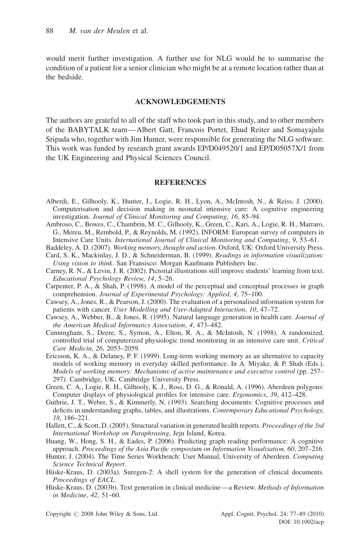would merit further investigation. A further use for NLG would be to summarise the condition of a patient for a senior clinician who might be at a remote location rather than at the bedside.

## ACKNOWLEDGEMENTS

The authors are grateful to all of the staff who took part in this study, and to other members of the BABYTALK team—Albert Gatt, Francois Portet, Ehud Reiter and Somayajulu Sripada who, together with Jim Hunter, were responsible for generating the NLG software. This work was funded by research grant awards EP/D049520/1 and EP/D05057X/1 from the UK Engineering and Physical Sciences Council.

## **REFERENCES**

- Alberdi, E., Gilhooly, K., Hunter, J., Logie, R. H., Lyon, A., McIntosh, N., & Reiss, J. (2000). Computerisation and decision making in neonatal intensive care: A cognitive engineering investigation. Journal of Clinical Monitoring and Computing, 16, 85–94.
- Ambroso, C., Bowes, C., Chambrin, M. C., Gilhooly, K., Green, C., Kari, A., Logie, R. H., Marraro, G., Mereu, M., Rembold, P., & Reynolds, M. (1992). INFORM: European survey of computers in Intensive Care Units. International Journal of Clinical Monitoring and Computing, 9, 53–61.
- Baddeley, A. D. (2007). Working memory, thought and action. Oxford, UK: Oxford University Press. Card, S. K., Mackinlay, J. D., & Schneiderman, B. (1999). Readings in information visualization: Using vision to think. San Fransisco: Morgan Kaufmann Publishers Inc.
- Carney, R. N., & Levin, J. R. (2002). Pictorial illustrations still improve students' learning from text. Educational Psychology Review, 14, 5–26.
- Carpenter, P. A., & Shah, P. (1998). A model of the perceptual and conceptual processes in graph comprehension. Journal of Experimental Psychology: Applied, 4, 75–100.
- Cawsey, A., Jones, R., & Pearson, J. (2000). The evaluation of a personalised information system for patients with cancer. User Modelling and User-Adapted Interaction, 10, 47–72.
- Cawsey, A., Webber, B., & Jones, R. (1995). Natural language generation in health care. Journal of the American Medical Informatics Association, 4, 473–482.
- Cunningham, S., Deere, S., Symon, A., Elton, R. A., & McIntosh, N. (1998). A randomized, controlled trial of computerized physiologic trend monitoring in an intensive care unit. Critical Care Medicin, 26, 2053–2059.
- Ericsson, K. A., & Delaney, P. F. (1999). Long-term working memory as an alternative to capacity models of working memory in everyday skilled performance. In A. Miyake, & P. Shah (Eds.), Models of working memory: Mechanisms of active maintenance and executive control (pp. 257– 297). Cambridge, UK: Cambridge University Press.
- Green, C. A., Logie, R. H., Gilhooly, K. J., Ross, D. G., & Ronald, A. (1996). Aberdeen polygons: Computer displays of physiological profiles for intensive care. *Ergonomics*, 39, 412–428.
- Guthrie, J. T., Weber, S., & Kimmerly, N. (1993). Searching documents: Cognitive processes and deficits in understanding graphs, tables, and illustrations. Contemporary Educational Psychology, 18, 186–221.
- Hallett, C., & Scott, D. (2005). Structural variation in generated health reports. Proceedings of the 3rd International Workshop on Paraphrasing, Jeju Island, Korea.
- Huang, W., Hong, S. H., & Eades, P. (2006). Predicting graph reading performance: A cognitive approach. Proceedings of the Asia Pacific symposium on Information Visualisation, 60, 207–216.
- Hunter, J. (2004). The Time Series Workbench: User Manual, University of Aberdeen. Computing Science Technical Report.
- Hüske-Kraus, D. (2003a). Suregen-2: A shell system for the generation of clinical documents. Proceedings of EACL.
- Hüske-Kraus, D. (2003b). Text generation in clinical medicine—a Review. Methods of Information in Medicine, 42, 51–60.